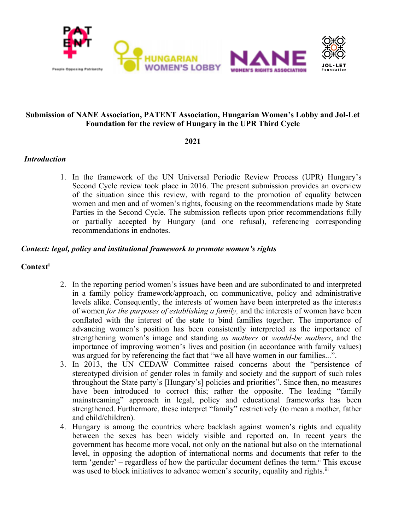

# **Submission of NANE Association, PATENT Association, Hungarian Women'<sup>s</sup> Lobby and Jol-Let Foundation for the review of Hungary in the UPR Third Cycle**

### **2021**

# *Introduction*

1. In the framework of the UN Universal Periodic Review Process (UPR) Hungary'<sup>s</sup> Second Cycle review took place in 2016. The presen<sup>t</sup> submission provides an overview of the situation since this review, with regard to the promotion of equality between women and men and of women'<sup>s</sup> rights, focusing on the recommendations made by State Parties in the Second Cycle. The submission reflects upon prior recommendations fully or partially accepted by Hungary (and one refusal), referencing corresponding recommendations in endnotes.

# *Context: legal, policy and institutional framework to promote women'<sup>s</sup> rights*

# **Context i**

- 2. In the reporting period women'<sup>s</sup> issues have been and are subordinated to and interpreted in <sup>a</sup> family policy framework/approach, on communicative, policy and administrative levels alike. Consequently, the interests of women have been interpreted as the interests of women *for the purposes of establishing <sup>a</sup> family,* and the interests of women have been conflated with the interest of the state to bind families together. The importance of advancing women'<sup>s</sup> position has been consistently interpreted as the importance of strengthening women'<sup>s</sup> image and standing *as mothers* or *would-be mothers*, and the importance of improving women'<sup>s</sup> lives and position (in accordance with family values) was argued for by referencing the fact that "we all have women in our families...".
- 3. In 2013, the UN CEDAW Committee raised concerns about the "persistence of stereotyped division of gender roles in family and society and the suppor<sup>t</sup> of such roles throughout the State party'<sup>s</sup> [Hungary's] policies and priorities". Since then, no measures have been introduced to correct this; rather the opposite. The leading "family mainstreaming" approach in legal, policy and educational frameworks has been strengthened. Furthermore, these interpret "family" restrictively (to mean <sup>a</sup> mother, father and child/children).
- 4. Hungary is among the countries where backlash against women'<sup>s</sup> rights and equality between the sexes has been widely visible and reported on. In recent years the governmen<sup>t</sup> has become more vocal, not only on the national but also on the international level, in opposing the adoption of international norms and documents that refer to the term 'gender' – regardless of how the particular document defines the term.<sup>ii</sup> This excuse was used to block initiatives to advance women's security, equality and rights.<sup>iii</sup>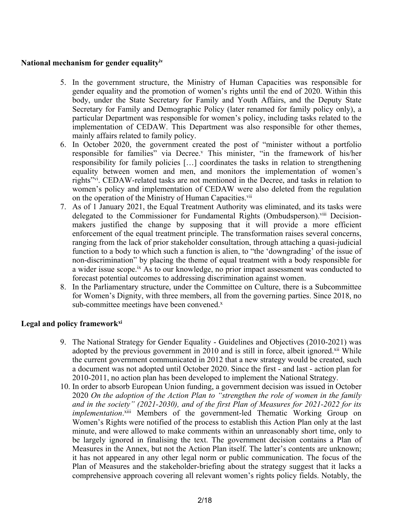# **National mechanism for gender equalityiv**

- 5. In the governmen<sup>t</sup> structure, the Ministry of Human Capacities was responsible for gender equality and the promotion of women'<sup>s</sup> rights until the end of 2020. Within this body, under the State Secretary for Family and Youth Affairs, and the Deputy State Secretary for Family and Demographic Policy (later renamed for family policy only), <sup>a</sup> particular Department was responsible for women'<sup>s</sup> policy, including tasks related to the implementation of CEDAW. This Department was also responsible for other themes, mainly affairs related to family policy.
- 6. In October 2020, the governmen<sup>t</sup> created the pos<sup>t</sup> of "minister without <sup>a</sup> portfolio responsible for families" via Decree. v This minister, "in the framework of his/her responsibility for family policies […] coordinates the tasks in relation to strengthening equality between women and men, and monitors the implementation of women'<sup>s</sup> rights"<sup>vi</sup>. CEDAW-related tasks are not mentioned in the Decree, and tasks in relation to women'<sup>s</sup> policy and implementation of CEDAW were also deleted from the regulation on the operation of the Ministry of Human Capacities.<sup>vii</sup>
- 7. As of 1 January 2021, the Equal Treatment Authority was eliminated, and its tasks were delegated to the Commissioner for Fundamental Rights (Ombudsperson).<sup>viii</sup> Decisionmakers justified the change by supposing that it will provide <sup>a</sup> more efficient enforcement of the equal treatment principle. The transformation raises several concerns, ranging from the lack of prior stakeholder consultation, through attaching <sup>a</sup> quasi-judicial function to <sup>a</sup> body to which such <sup>a</sup> function is alien, to "the 'downgrading' of the issue of non-discrimination" by placing the theme of equal treatment with <sup>a</sup> body responsible for a wider issue scope.<sup>ix</sup> As to our knowledge, no prior impact assessment was conducted to forecast potential outcomes to addressing discrimination against women.
- 8. In the Parliamentary structure, under the Committee on Culture, there is <sup>a</sup> Subcommittee for Women'<sup>s</sup> Dignity, with three members, all from the governing parties. Since 2018, no sub-committee meetings have been convened.<sup>x</sup>

# **Legal and policy frameworkxi**

- 9. The National Strategy for Gender Equality Guidelines and Objectives (2010-2021) was adopted by the previous government in 2010 and is still in force, albeit ignored.<sup>xii</sup> While the current governmen<sup>t</sup> communicated in 2012 that <sup>a</sup> new strategy would be created, such <sup>a</sup> document was not adopted until October 2020. Since the first - and last - action plan for 2010-2011, no action plan has been developed to implement the National Strategy.
- 10. In order to absorb European Union funding, <sup>a</sup> governmen<sup>t</sup> decision was issued in October 2020 *On the adoption of the Action Plan to "strengthen the role of women in the family and in the society" (2021-2030), and of the first Plan of Measures for 2021-2022 for its implementation*.<sup>xiii</sup> Members of the government-led Thematic Working Group on Women'<sup>s</sup> Rights were notified of the process to establish this Action Plan only at the last minute, and were allowed to make comments within an unreasonably short time, only to be largely ignored in finalising the text. The governmen<sup>t</sup> decision contains <sup>a</sup> Plan of Measures in the Annex, but not the Action Plan itself. The latter'<sup>s</sup> contents are unknown; it has not appeared in any other legal norm or public communication. The focus of the Plan of Measures and the stakeholder-briefing about the strategy sugges<sup>t</sup> that it lacks <sup>a</sup> comprehensive approach covering all relevant women'<sup>s</sup> rights policy fields. Notably, the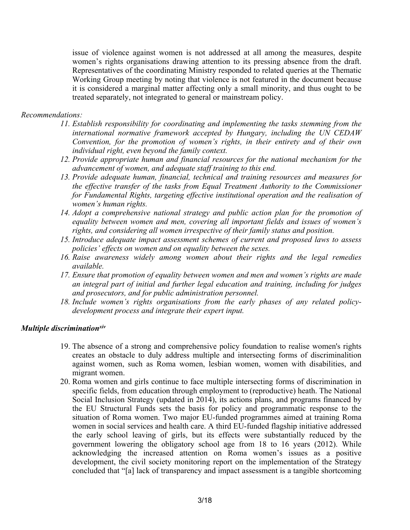issue of violence against women is not addressed at all among the measures, despite women'<sup>s</sup> rights organisations drawing attention to its pressing absence from the draft. Representatives of the coordinating Ministry responded to related queries at the Thematic Working Group meeting by noting that violence is not featured in the document because it is considered <sup>a</sup> marginal matter affecting only <sup>a</sup> small minority, and thus ought to be treated separately, not integrated to general or mainstream policy.

# *Recommendations:*

- *11. Establish responsibility for coordinating and implementing the tasks stemming from the international normative framework accepted by Hungary, including the UN CEDAW Convention, for the promotion of women'<sup>s</sup> rights, in their entirety and of their own individual right, even beyond the family context.*
- *12. Provide appropriate human and financial resources for the national mechanism for the advancement of women, and adequate staff training to this end.*
- *13. Provide adequate human, financial, technical and training resources and measures for the effective transfer of the tasks from Equal Treatment Authority to the Commissioner for Fundamental Rights, targeting effective institutional operation and the realisation of women'<sup>s</sup> human rights.*
- *14. Adopt <sup>a</sup> comprehensive national strategy and public action plan for the promotion of equality between women and men, covering all important fields and issues of women'<sup>s</sup> rights, and considering all women irrespective of their family status and position.*
- *15. Introduce adequate impact assessment schemes of current and proposed laws to assess policies' effects on women and on equality between the sexes.*
- *16. Raise awareness widely among women about their rights and the legal remedies available.*
- *17. Ensure that promotion of equality between women and men and women'<sup>s</sup> rights are made an integral par<sup>t</sup> of initial and further legal education and training, including for judges and prosecutors, and for public administration personnel.*
- *18. Include women'<sup>s</sup> rights organisations from the early phases of any related policydevelopment process and integrate their exper<sup>t</sup> input.*

# *Multiple discriminationxiv*

- 19. The absence of <sup>a</sup> strong and comprehensive policy foundation to realise women's rights creates an obstacle to duly address multiple and intersecting forms of discriminalition against women, such as Roma women, lesbian women, women with disabilities, and migrant women.
- 20. Roma women and girls continue to face multiple intersecting forms of discrimination in specific fields, from education through employment to (reproductive) heath. The National Social Inclusion Strategy (updated in 2014), its actions plans, and programs financed by the EU Structural Funds sets the basis for policy and programmatic response to the situation of Roma women. Two major EU-funded programmes aimed at training Roma women in social services and health care. Athird EU-funded flagship initiative addressed the early school leaving of girls, but its effects were substantially reduced by the governmen<sup>t</sup> lowering the obligatory school age from 18 to 16 years (2012). While acknowledging the increased attention on Roma women'<sup>s</sup> issues as <sup>a</sup> positive development, the civil society monitoring repor<sup>t</sup> on the implementation of the Strategy concluded that "[a] lack of transparency and impact assessment is <sup>a</sup> tangible shortcoming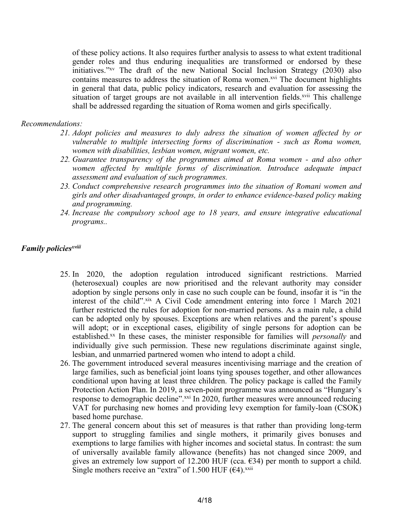of these policy actions. It also requires further analysis to assess to what extent traditional gender roles and thus enduring inequalities are transformed or endorsed by these initiatives."xv The draft of the new National Social Inclusion Strategy (2030) also contains measures to address the situation of Roma women.<sup>xvi</sup> The document highlights in general that data, public policy indicators, research and evaluation for assessing the situation of target groups are not available in all intervention fields.<sup>xvii</sup> This challenge shall be addressed regarding the situation of Roma women and girls specifically.

# *Recommendations:*

- *21. Adopt policies and measures to duly adress the situation of women affected by or vulnerable to multiple intersecting forms of discrimination - such as Roma women, women with disabilities, lesbian women, migrant women, etc.*
- *22. Guarantee transparency of the programmes aimed at Roma women - and also other women affected by multiple forms of discrimination. Introduce adequate impact assessment and evaluation of such programmes.*
- *23. Conduct comprehensive research programmes into the situation of Romani women and girls and other disadvantaged groups, in order to enhance evidence-based policy making and programming.*
- *24. Increase the compulsory school age to 18 years, and ensure integrative educational programs..*

# *Family policies xviii*

- 25. In 2020, the adoption regulation introduced significant restrictions. Married (heterosexual) couples are now prioritised and the relevant authority may consider adoption by single persons only in case no such couple can be found, insofar it is "in the interest of the child". xix A Civil Code amendment entering into force 1 March 2021 further restricted the rules for adoption for non-married persons. As <sup>a</sup> main rule, <sup>a</sup> child can be adopted only by spouses. Exceptions are when relatives and the parent'<sup>s</sup> spouse will adopt; or in exceptional cases, eligibility of single persons for adoption can be established. xx In these cases, the minister responsible for families will *personally* and individually give such permission. These new regulations discriminate against single, lesbian, and unmarried partnered women who intend to adopt <sup>a</sup> child.
- 26. The governmen<sup>t</sup> introduced several measures incentivising marriage and the creation of large families, such as beneficial joint loans tying spouses together, and other allowances conditional upon having at least three children. The policy package is called the Family Protection Action Plan. In 2019, <sup>a</sup> seven-point programme was announced as "Hungary'<sup>s</sup> response to demographic decline".<sup>xxi</sup> In 2020, further measures were announced reducing VAT for purchasing new homes and providing levy exemption for family-loan (CSOK) based home purchase.
- 27. The general concern about this set of measures is that rather than providing long-term suppor<sup>t</sup> to struggling families and single mothers, it primarily gives bonuses and exemptions to large families with higher incomes and societal status. In contrast: the sum of universally available family allowance (benefits) has not changed since 2009, and gives an extremely low support of 12.200 HUF (cca.  $\epsilon$ 34) per month to support a child. Single mothers receive an "extra" of 1.500 HUF  $(64)$ .<sup>xxii</sup>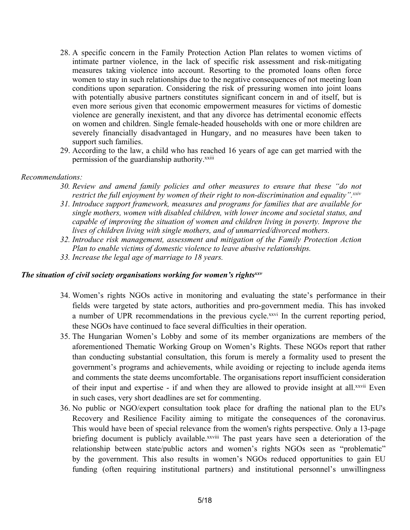- 28. A specific concern in the Family Protection Action Plan relates to women victims of intimate partner violence, in the lack of specific risk assessment and risk-mitigating measures taking violence into account. Resorting to the promoted loans often force women to stay in such relationships due to the negative consequences of not meeting loan conditions upon separation. Considering the risk of pressuring women into joint loans with potentially abusive partners constitutes significant concern in and of itself, but is even more serious given that economic empowermen<sup>t</sup> measures for victims of domestic violence are generally inexistent, and that any divorce has detrimental economic effects on women and children. Single female-headed households with one or more children are severely financially disadvantaged in Hungary, and no measures have been taken to suppor<sup>t</sup> such families.
- 29. According to the law, <sup>a</sup> child who has reached 16 years of age can ge<sup>t</sup> married with the permission of the guardianship authority.<sup>xxiii</sup>

### *Recommendations:*

- *30. Review and amend family policies and other measures to ensure that these "do not restrict the full enjoyment by women of their right to non-discrimination and equality". xxiv*
- *31. Introduce suppor<sup>t</sup> framework, measures and programs for families that are available for single mothers, women with disabled children, with lower income and societal status, and capable of improving the situation of women and children living in poverty. Improve the lives of children living with single mothers, and of unmarried/divorced mothers.*
- *32. Introduce risk management, assessment and mitigation of the Family Protection Action Plan to enable victims of domestic violence to leave abusive relationships.*
- *33. Increase the legal age of marriage to 18 years.*

# *The situation of civil society organisations working for women'<sup>s</sup> rights xxv*

- 34. Women'<sup>s</sup> rights NGOs active in monitoring and evaluating the state'<sup>s</sup> performance in their fields were targeted by state actors, authorities and pro-governmen<sup>t</sup> media. This has invoked a number of UPR recommendations in the previous cycle.<sup>xxvi</sup> In the current reporting period, these NGOs have continued to face several difficulties in their operation.
- 35. The Hungarian Women'<sup>s</sup> Lobby and some of its member organizations are members of the aforementioned Thematic Working Group on Women'<sup>s</sup> Rights. These NGOs repor<sup>t</sup> that rather than conducting substantial consultation, this forum is merely <sup>a</sup> formality used to presen<sup>t</sup> the government'<sup>s</sup> programs and achievements, while avoiding or rejecting to include agenda items and comments the state deems uncomfortable. The organisations repor<sup>t</sup> insufficient consideration of their input and expertise - if and when they are allowed to provide insight at all.<sup>xxvii</sup> Even in such cases, very short deadlines are set for commenting.
- 36. No public or NGO/expert consultation took place for drafting the national plan to the EU's Recovery and Resilience Facility aiming to mitigate the consequences of the coronavirus. This would have been of special relevance from the women's rights perspective. Only <sup>a</sup> 13-page briefing document is publicly available.<sup>xxviii</sup> The past years have seen a deterioration of the relationship between state/public actors and women'<sup>s</sup> rights NGOs seen as "problematic" by the government. This also results in women'<sup>s</sup> NGOs reduced opportunities to gain EU funding (often requiring institutional partners) and institutional personnel'<sup>s</sup> unwillingness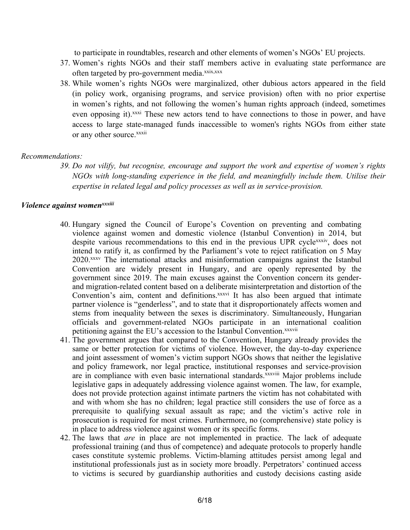to participate in roundtables, research and other elements of women'<sup>s</sup> NGOs' EU projects.

- 37. Women'<sup>s</sup> rights NGOs and their staff members active in evaluating state performance are often targeted by pro-government media.<sup>xxix,xxx</sup>
- 38. While women'<sup>s</sup> rights NGOs were marginalized, other dubious actors appeared in the field (in policy work, organising programs, and service provision) often with no prior expertise in women'<sup>s</sup> rights, and not following the women'<sup>s</sup> human rights approach (indeed, sometimes even opposing it).<sup>xxxi</sup> These new actors tend to have connections to those in power, and have access to large state-managed funds inaccessible to women's rights NGOs from either state or any other source.<sup>xxxii</sup>

### *Recommendations:*

39. Do not vilify, but recognise, encourage and support the work and expertise of women's rights *NGOs with long-standing experience in the field, and meaningfully include them. Utilise their expertise in related legal and policy processes as well as in service-provision.*

#### *Violence against womenxxxiii*

- 40. Hungary signed the Council of Europe'<sup>s</sup> Covention on preventing and combating violence against women and domestic violence (Istanbul Convention) in 2014, but despite various recommendations to this end in the previous UPR cycle<sup>xxxiv</sup>, does not intend to ratify it, as confirmed by the Parliament'<sup>s</sup> vote to reject ratification on 5 May 2020. xxxv The international attacks and misinformation campaigns against the Istanbul Convention are widely presen<sup>t</sup> in Hungary, and are openly represented by the governmen<sup>t</sup> since 2019. The main excuses against the Convention concern its genderand migration-related content based on <sup>a</sup> deliberate misinterpretation and distortion of the Convention's aim, content and definitions.<sup>xxxvi</sup> It has also been argued that intimate partner violence is "genderless", and to state that it disproportionately affects women and stems from inequality between the sexes is discriminatory. Simultaneously, Hungarian officials and government-related NGOs participate in an international coalition petitioning against the EU's accession to the Istanbul Convention.<sup>xxxvii</sup>
- 41. The governmen<sup>t</sup> argues that compared to the Convention, Hungary already provides the same or better protection for victims of violence. However, the day-to-day experience and joint assessment of women'<sup>s</sup> victim suppor<sup>t</sup> NGOs shows that neither the legislative and policy framework, nor legal practice, institutional responses and service-provision are in compliance with even basic international standards.<sup>xxxviii</sup> Major problems include legislative gaps in adequately addressing violence against women. The law, for example, does not provide protection against intimate partners the victim has not cohabitated with and with whom she has no children; legal practice still considers the use of force as <sup>a</sup> prerequisite to qualifying sexual assault as rape; and the victim'<sup>s</sup> active role in prosecution is required for most crimes. Furthermore, no (comprehensive) state policy is in place to address violence against women or its specific forms.
- 42. The laws that *are* in place are not implemented in practice. The lack of adequate professional training (and thus of competence) and adequate protocols to properly handle cases constitute systemic problems. Victim-blaming attitudes persist among legal and institutional professionals just as in society more broadly. Perpetrators' continued access to victims is secured by guardianship authorities and custody decisions casting aside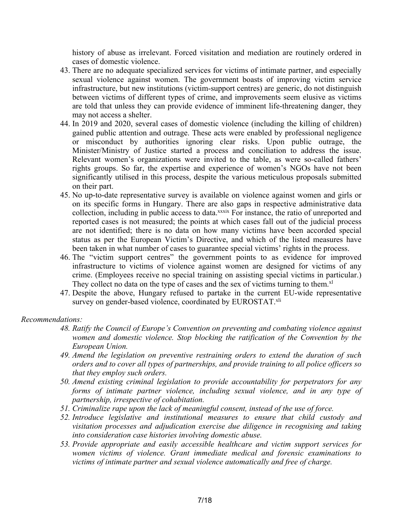history of abuse as irrelevant. Forced visitation and mediation are routinely ordered in cases of domestic violence.

- 43. There are no adequate specialized services for victims of intimate partner, and especially sexual violence against women. The governmen<sup>t</sup> boasts of improving victim service infrastructure, but new institutions (victim-support centres) are generic, do not distinguish between victims of different types of crime, and improvements seem elusive as victims are told that unless they can provide evidence of imminent life-threatening danger, they may not access <sup>a</sup> shelter.
- 44. In 2019 and 2020, several cases of domestic violence (including the killing of children) gained public attention and outrage. These acts were enabled by professional negligence or misconduct by authorities ignoring clear risks. Upon public outrage, the Minister/Ministry of Justice started <sup>a</sup> process and conciliation to address the issue. Relevant women'<sup>s</sup> organizations were invited to the table, as were so-called fathers' rights groups. So far, the expertise and experience of women'<sup>s</sup> NGOs have not been significantly utilised in this process, despite the various meticulous proposals submitted on their part.
- 45. No up-to-date representative survey is available on violence against women and girls or on its specific forms in Hungary. There are also gaps in respective administrative data collection, including in public access to data.<sup>xxxix</sup> For instance, the ratio of unreported and reported cases is not measured; the points at which cases fall out of the judicial process are not identified; there is no data on how many victims have been accorded special status as per the European Victim'<sup>s</sup> Directive, and which of the listed measures have been taken in what number of cases to guarantee special victims' rights in the process.
- 46. The "victim suppor<sup>t</sup> centres" the governmen<sup>t</sup> points to as evidence for improved infrastructure to victims of violence against women are designed for victims of any crime. (Employees receive no special training on assisting special victims in particular.) They collect no data on the type of cases and the sex of victims turning to them.<sup>xl</sup>
- 47. Despite the above, Hungary refused to partake in the current EU-wide representative survey on gender-based violence, coordinated by EUROSTAT.<sup>xli</sup>

### *Recommendations:*

- *48. Ratify the Council of Europe'<sup>s</sup> Convention on preventing and combating violence against women and domestic violence. Stop blocking the ratification of the Convention by the European Union.*
- *49. Amend the legislation on preventive restraining orders to extend the duration of such* orders and to cover all types of partnerships, and provide training to all police officers so *that they employ such orders.*
- *50. Amend existing criminal legislation to provide accountability for perpetrators for any forms of intimate partner violence, including sexual violence, and in any type of partnership, irrespective of cohabitation.*
- *51. Criminalize rape upon the lack of meaningful consent, instead of the use of force.*
- *52. Introduce legislative and institutional measures to ensure that child custody and visitation processes and adjudication exercise due diligence in recognising and taking into consideration case histories involving domestic abuse.*
- *53. Provide appropriate and easily accessible healthcare and victim suppor<sup>t</sup> services for women victims of violence. Grant immediate medical and forensic examinations to victims of intimate partner and sexual violence automatically and free of charge.*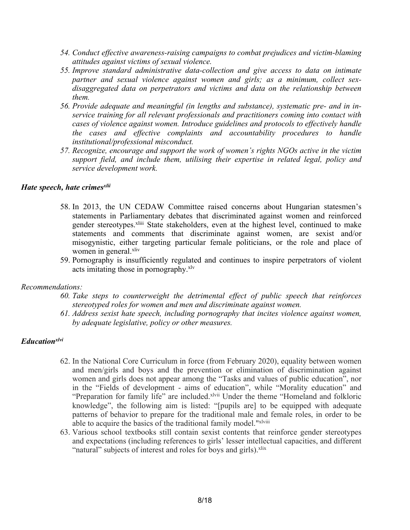- *54. Conduct effective awareness-raising campaigns to combat prejudices and victim-blaming attitudes against victims of sexual violence.*
- *55. Improve standard administrative data-collection and give access to data on intimate partner and sexual violence against women and girls; as <sup>a</sup> minimum, collect sexdisaggregated data on perpetrators and victims and data on the relationship between them.*
- *56. Provide adequate and meaningful (in lengths and substance), systematic pre- and in inservice training for all relevant professionals and practitioners coming into contact with cases of violence against women. Introduce guidelines and protocols to effectively handle the cases and effective complaints and accountability procedures to handle institutional/professional misconduct.*
- *57. Recognize, encourage and suppor<sup>t</sup> the work of women'<sup>s</sup> rights NGOs active in the victim suppor<sup>t</sup> field, and include them, utilising their expertise in related legal, policy and service development work.*

# *Hate speech, hate crimes xlii*

- 58. In 2013, the UN CEDAW Committee raised concerns about Hungarian statesmen'<sup>s</sup> statements in Parliamentary debates that discriminated against women and reinforced gender stereotypes.<sup>xliii</sup> State stakeholders, even at the highest level, continued to make statements and comments that discriminate against women, are sexist and/or misogynistic, either targeting particular female politicians, or the role and place of women in general.<sup>xliv</sup>
- 59. Pornography is insufficiently regulated and continues to inspire perpetrators of violent acts imitating those in pornography. xlv

# *Recommendations:*

- *60. Take steps to counterweight the detrimental effect of public speech that reinforces stereotyped roles for women and men and discriminate against women.*
- *61. Address sexist hate speech, including pornography that incites violence against women, by adequate legislative, policy or other measures.*

# *Educationxlvi*

- 62. In the National Core Curriculum in force (from February 2020), equality between women and men/girls and boys and the prevention or elimination of discrimination against women and girls does not appear among the "Tasks and values of public education", nor in the "Fields of development - aims of education", while "Morality education" and "Preparation for family life" are included. Xlvii Under the theme "Homeland and folkloric knowledge", the following aim is listed: "[pupils are] to be equipped with adequate patterns of behavior to prepare for the traditional male and female roles, in order to be able to acquire the basics of the traditional family model."xlviii
- 63. Various school textbooks still contain sexist contents that reinforce gender stereotypes and expectations (including references to girls' lesser intellectual capacities, and different "natural" subjects of interest and roles for boys and girls).<sup>xlix</sup>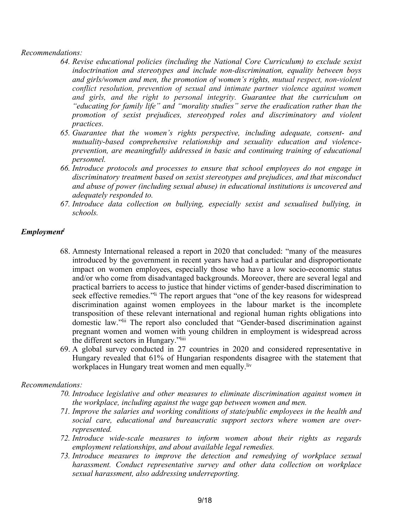### *Recommendations:*

- *64. Revise educational policies (including the National Core Curriculum) to exclude sexist indoctrination and stereotypes and include non-discrimination, equality between boys and girls/women and men, the promotion of women'<sup>s</sup> rights, mutual respect, non-violent conflict resolution, prevention of sexual and intimate partner violence against women and girls, and the right to personal integrity. Guarantee that the curriculum on "educating for family life" and "morality studies" serve the eradication rather than the promotion of sexist prejudices, stereotyped roles and discriminatory and violent practices.*
- *65. Guarantee that the women'<sup>s</sup> rights perspective, including adequate, consent- and mutuality-based comprehensive relationship and sexuality education and violenceprevention, are meaningfully addressed in basic and continuing training of educational personnel.*
- *66. Introduce protocols and processes to ensure that school employees do not engage in discriminatory treatment based on sexist stereotypes and prejudices, and that misconduct and abuse of power (including sexual abuse) in educational institutions is uncovered and adequately responded to.*
- *67. Introduce data collection on bullying, especially sexist and sexualised bullying, in schools.*

# *Employment l*

- 68. Amnesty International released <sup>a</sup> repor<sup>t</sup> in 2020 that concluded: "many of the measures introduced by the governmen<sup>t</sup> in recent years have had <sup>a</sup> particular and disproportionate impact on women employees, especially those who have <sup>a</sup> low socio-economic status and/or who come from disadvantaged backgrounds. Moreover, there are several legal and practical barriers to access to justice that hinder victims of gender-based discrimination to seek effective remedies."<sup>Ii</sup> The report argues that "one of the key reasons for widespread discrimination against women employees in the labour market is the incomplete transposition of these relevant international and regional human rights obligations into domestic law."lii The repor<sup>t</sup> also concluded that "Gender-based discrimination against pregnan<sup>t</sup> women and women with young children in employment is widespread across the different sectors in Hungary."liii
- 69. Aglobal survey conducted in 27 countries in 2020 and considered representative in Hungary revealed that 61% of Hungarian respondents disagree with the statement that workplaces in Hungary treat women and men equally.<sup>liv</sup>

# *Recommendations:*

- *70. Introduce legislative and other measures to eliminate discrimination against women in the workplace, including against the wage gap between women and men.*
- *71. Improve the salaries and working conditions of state/public employees in the health and social care, educational and bureaucratic suppor<sup>t</sup> sectors where women are overrepresented.*
- *72. Introduce wide-scale measures to inform women about their rights as regards employment relationships, and about available legal remedies.*
- *73. Introduce measures to improve the detection and remedying of workplace sexual harassment. Conduct representative survey and other data collection on workplace sexual harassment, also addressing underreporting.*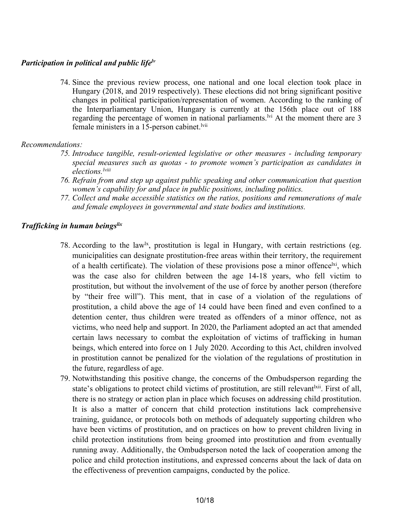# *Participation in political and public lifelv*

74. Since the previous review process, one national and one local election took place in Hungary (2018, and 2019 respectively). These elections did not bring significant positive changes in political participation/representation of women. According to the ranking of the Interparliamentary Union, Hungary is currently at the 156th place out of 188 regarding the percentage of women in national parliaments.<sup>1vi</sup> At the moment there are 3 female ministers in a 15-person cabinet.<sup>Ivii</sup>

# *Recommendations:*

- *75. Introduce tangible, result-oriented legislative or other measures - including temporary special measures such as quotas - to promote women'<sup>s</sup> participation as candidates in elections. lviii*
- *76. Refrain from and step up against public speaking and other communication that question women'<sup>s</sup> capability for and place in public positions, including politics.*
- *77. Collect and make accessible statistics on the ratios, positions and remunerations of male and female employees in governmental and state bodies and institutions.*

# *Trafficking in human beings lix*

- 78. According to the law<sup>1x</sup>, prostitution is legal in Hungary, with certain restrictions (eg. municipalities can designate prostitution-free areas within their territory, the requirement of a health certificate). The violation of these provisions pose a minor offence<sup>lxi</sup>, which was the case also for children between the age 14-18 years, who fell victim to prostitution, but without the involvement of the use of force by another person (therefore by "their free will"). This ment, that in case of <sup>a</sup> violation of the regulations of prostitution, <sup>a</sup> child above the age of 14 could have been fined and even confined to <sup>a</sup> detention center, thus children were treated as offenders of <sup>a</sup> minor offence, not as victims, who need help and support. In 2020, the Parliament adopted an act that amended certain laws necessary to combat the exploitation of victims of trafficking in human beings, which entered into force on 1 July 2020. According to this Act, children involved in prostitution cannot be penalized for the violation of the regulations of prostitution in the future, regardless of age.
- 79. Notwithstanding this positive change, the concerns of the Ombudsperson regarding the state's obligations to protect child victims of prostitution, are still relevant<sup>|xii</sup>. First of all, there is no strategy or action plan in place which focuses on addressing child prostitution. It is also <sup>a</sup> matter of concern that child protection institutions lack comprehensive training, guidance, or protocols both on methods of adequately supporting children who have been victims of prostitution, and on practices on how to preven<sup>t</sup> children living in child protection institutions from being groomed into prostitution and from eventually running away. Additionally, the Ombudsperson noted the lack of cooperation among the police and child protection institutions, and expressed concerns about the lack of data on the effectiveness of prevention campaigns, conducted by the police.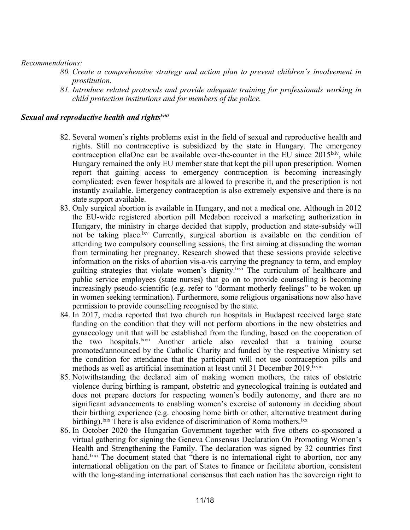### *Recommendations:*

- *80. Create <sup>a</sup> comprehensive strategy and action plan to preven<sup>t</sup> children'<sup>s</sup> involvement in prostitution.*
- *81. Introduce related protocols and provide adequate training for professionals working in child protection institutions and for members of the police.*

# *Sexual and reproductive health and rights lxiii*

- 82. Several women'<sup>s</sup> rights problems exist in the field of sexual and reproductive health and rights. Still no contraceptive is subsidized by the state in Hungary. The emergency contraception ellaOne can be available over-the-counter in the EU since  $2015^{\text{hiv}}$ , while Hungary remained the only EU member state that kept the pill upon prescription. Women repor<sup>t</sup> that gaining access to emergency contraception is becoming increasingly complicated: even fewer hospitals are allowed to prescribe it, and the prescription is not instantly available. Emergency contraception is also extremely expensive and there is no state suppor<sup>t</sup> available.
- 83. Only surgical abortion is available in Hungary, and not <sup>a</sup> medical one. Although in 2012 the EU-wide registered abortion pill Medabon received <sup>a</sup> marketing authorization in Hungary, the ministry in charge decided that supply, production and state-subsidy will not be taking place.<sup>lxv</sup> Currently, surgical abortion is available on the condition of attending two compulsory counselling sessions, the first aiming at dissuading the woman from terminating her pregnancy. Research showed that these sessions provide selective information on the risks of abortion vis-a-vis carrying the pregnancy to term, and employ guilting strategies that violate women's dignity. Kivi The curriculum of healthcare and public service employees (state nurses) that go on to provide counselling is becoming increasingly pseudo-scientific (e.g. refer to "dormant motherly feelings" to be woken up in women seeking termination). Furthermore, some religious organisations now also have permission to provide counselling recognised by the state.
- 84. In 2017, media reported that two church run hospitals in Budapest received large state funding on the condition that they will not perform abortions in the new obstetrics and gynaecology unit that will be established from the funding, based on the cooperation of the two hospitals. <sup>Ixvii</sup> Another article also revealed that a training course promoted/announced by the Catholic Charity and funded by the respective Ministry set the condition for attendance that the participant will not use contraception pills and methods as well as artificial insemination at least until 31 December 2019.<sup>Ixviii</sup>
- 85. Notwithstanding the declared aim of making women mothers, the rates of obstetric violence during birthing is rampant, obstetric and gynecological training is outdated and does not prepare doctors for respecting women'<sup>s</sup> bodily autonomy, and there are no significant advancements to enabling women'<sup>s</sup> exercise of autonomy in deciding about their birthing experience (e.g. choosing home birth or other, alternative treatment during birthing). <sup>Ixix</sup> There is also evidence of discrimination of Roma mothers. <sup>Ixx</sup>
- 86. In October 2020 the Hungarian Government together with five others co-sponsored <sup>a</sup> virtual gathering for signing the Geneva Consensus Declaration On Promoting Women'<sup>s</sup> Health and Strengthening the Family. The declaration was signed by 32 countries first hand.<sup>Ixxi</sup> The document stated that "there is no international right to abortion, nor any international obligation on the par<sup>t</sup> of States to finance or facilitate abortion, consistent with the long-standing international consensus that each nation has the sovereign right to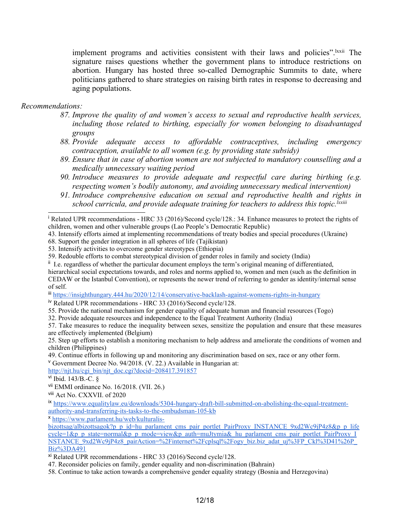implement programs and activities consistent with their laws and policies". Ixxii The signature raises questions whether the governmen<sup>t</sup> plans to introduce restrictions on abortion. Hungary has hosted three so-called Demographic Summits to date, where politicians gathered to share strategies on raising birth rates in response to decreasing and aging populations.

*Recommendations:*

- *87. Improve the quality of and women'<sup>s</sup> access to sexual and reproductive health services, including those related to birthing, especially for women belonging to disadvantaged groups*
- *88. Provide adequate access to affordable contraceptives, including emergency contraception, available to all women (e.g. by providing state subsidy)*
- *89. Ensure that in case of abortion women are not subjected to mandatory counselling and <sup>a</sup> medically unnecessary waiting period*
- *90. Introduce measures to provide adequate and respectful care during birthing (e.g. respecting women'<sup>s</sup> bodily autonomy, and avoiding unnecessary medical intervention)*
- *91. Introduce comprehensive education on sexual and reproductive health and rights in school curricula, and provide adequate training for teachers to address this topic. lxxiii*

68. Support the gender integration in all spheres of life (Tajikistan)

53. Intensify activities to overcome gender stereotypes (Ethiopia)

59. Redouble efforts to combat stereotypical division of gender roles in family and society (India)

<sup>ii</sup> I.e. regardless of whether the particular document employs the term's original meaning of differentiated,

hierarchical social expectations towards, and roles and norms applied to, women and men (such as the definition in CEDAW or the Istanbul Convention), or represents the newer trend of referring to gender as identity/internal sense of self.

iii <https://insighthungary.444.hu/2020/12/14/conservative-backlash-against-womens-rights-in-hungary>

iv Related UPR recommendations - HRC 33 (2016)/Second cycle/128.

55. Provide the national mechanism for gender equality of adequate human and financial resources (Togo)

32. Provide adequate resources and independence to the Equal Treatment Authority (India)

25. Step up efforts to establish <sup>a</sup> monitoring mechanism to help address and ameliorate the conditions of women and children (Philippines)

49. Continue efforts in following up and monitoring any discrimination based on sex, race or any other form.

<sup>v</sup> Government Decree No. 94/2018. (V. 22.) Available in Hungarian at:

[http://njt.hu/cgi](http://njt.hu/cgi_bin/njt_doc.cgi?docid=208417.391857)\_[bin/njt](http://njt.hu/cgi_bin/njt_doc.cgi?docid=208417.391857)\_[doc.cgi?docid=208417.391857](http://njt.hu/cgi_bin/njt_doc.cgi?docid=208417.391857)

x [https://www.parlament.hu/web/kulturalis-](https://www.parlament.hu/web/kulturalis-bizottsag/albizottsagok?p_p_id=hu_parlament_cms_pair_portlet_PairProxy_INSTANCE_9xd2Wc9jP4z8&p_p_lifecycle=1&p_p_state=normal&p_p_mode=view&p_auth=muJtymia&_hu_parlament_cms_pair_portlet_PairProxy_INSTANCE_9xd2Wc9jP4z8_pairAction=%2Finternet%2Fcplsql%2Fogy_biz.biz_adat_uj%3FP_Ckl%3D41%26P_Biz%3DA491)

<sup>&</sup>lt;sup>i</sup> Related UPR recommendations - HRC 33 (2016)/Second cycle/128.: 34. Enhance measures to protect the rights of children, women and other vulnerable groups (Lao People'<sup>s</sup> Democratic Republic)

<sup>43.</sup> Intensify efforts aimed at implementing recommendations of treaty bodies and special procedures (Ukraine)

<sup>57.</sup> Take measures to reduce the inequality between sexes, sensitize the population and ensure that these measures are effectively implemented (Belgium)

<sup>&</sup>lt;sup>vi</sup> Ibid. 143/B.-C. §

vii EMMI ordinance No. 16/2018. (VII. 26.)

viii Act No. CXXVII. of 2020

ix [https://www.equalitylaw.eu/downloads/5304-hungary-draft-bill-submitted-on-abolishing-the-equal-treatment](https://www.equalitylaw.eu/downloads/5304-hungary-draft-bill-submitted-on-abolishing-the-equal-treatment-authority-and-transferring-its-tasks-to-the-ombudsman-105-kb)[authority-and-transferring-its-tasks-to-the-ombudsman-105-kb](https://www.equalitylaw.eu/downloads/5304-hungary-draft-bill-submitted-on-abolishing-the-equal-treatment-authority-and-transferring-its-tasks-to-the-ombudsman-105-kb)

[bizottsag/albizottsagok?p\\_p\\_id=hu\\_parlament\\_cms\\_pair\\_portlet\\_PairProxy\\_INSTANCE\\_9xd2Wc9jP4z8&p\\_p\\_life](https://www.parlament.hu/web/kulturalis-bizottsag/albizottsagok?p_p_id=hu_parlament_cms_pair_portlet_PairProxy_INSTANCE_9xd2Wc9jP4z8&p_p_lifecycle=1&p_p_state=normal&p_p_mode=view&p_auth=muJtymia&_hu_parlament_cms_pair_portlet_PairProxy_INSTANCE_9xd2Wc9jP4z8_pairAction=%2Finternet%2Fcplsql%2Fogy_biz.biz_adat_uj%3FP_Ckl%3D41%26P_Biz%3DA491) cyc[le=1&p\\_p\\_state=normal&p\\_p\\_mode=view&p\\_auth=muJtymia&\\_hu\\_parlament\\_cms\\_pair\\_portlet\\_PairProxy\\_I](https://www.parlament.hu/web/kulturalis-bizottsag/albizottsagok?p_p_id=hu_parlament_cms_pair_portlet_PairProxy_INSTANCE_9xd2Wc9jP4z8&p_p_lifecycle=1&p_p_state=normal&p_p_mode=view&p_auth=muJtymia&_hu_parlament_cms_pair_portlet_PairProxy_INSTANCE_9xd2Wc9jP4z8_pairAction=%2Finternet%2Fcplsql%2Fogy_biz.biz_adat_uj%3FP_Ckl%3D41%26P_Biz%3DA491) [NSTANCE\\_9xd2Wc9jP4z8\\_pairAction=%2Finternet%2Fcplsql%2Fogy\\_biz.biz\\_adat\\_uj%3FP\\_Ckl%3D41%26P\\_](https://www.parlament.hu/web/kulturalis-bizottsag/albizottsagok?p_p_id=hu_parlament_cms_pair_portlet_PairProxy_INSTANCE_9xd2Wc9jP4z8&p_p_lifecycle=1&p_p_state=normal&p_p_mode=view&p_auth=muJtymia&_hu_parlament_cms_pair_portlet_PairProxy_INSTANCE_9xd2Wc9jP4z8_pairAction=%2Finternet%2Fcplsql%2Fogy_biz.biz_adat_uj%3FP_Ckl%3D41%26P_Biz%3DA491)  $Biz\%3DA491$ 

xi Related UPR recommendations - HRC 33 (2016)/Second cycle/128.

<sup>47.</sup> Reconsider policies on family, gender equality and non-discrimination (Bahrain)

<sup>58.</sup> Continue to take action towards <sup>a</sup> comprehensive gender equality strategy (Bosnia and Herzegovina)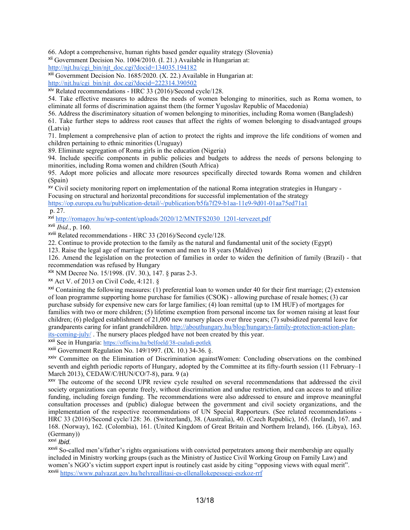66. Adopt <sup>a</sup> comprehensive, human rights based gender equality strategy (Slovenia)

xii Government Decision No. 1004/2010. (I. 21.) Available in Hungarian at:

[http://njt.hu/cgi](http://njt.hu/cgi_bin/njt_doc.cgi?docid=134035.194182)\_[bin/njt](http://njt.hu/cgi_bin/njt_doc.cgi?docid=134035.194182)\_[doc.cgi?docid=134035.194182](http://njt.hu/cgi_bin/njt_doc.cgi?docid=134035.194182)

xiii Government Decision No. 1685/2020. (X. 22.) Available in Hungarian at:

[http://njt.hu/cgi\\_bin/njt\\_doc.cgi?docid=222314.390502](http://njt.hu/cgi_bin/njt_doc.cgi?docid=222314.390502)

<sup>xiv</sup> Related recommendations - HRC 33 (2016)/Second cycle/128.

54. Take effective measures to address the needs of women belonging to minorities, such as Roma women, to eliminate all forms of discrimination against them (the former Yugoslav Republic of Macedonia)

56. Address the discriminatory situation of women belonging to minorities, including Roma women (Bangladesh)

61. Take further steps to address root causes that affect the rights of women belonging to disadvantaged groups (Latvia)

71. Implement <sup>a</sup> comprehensive plan of action to protect the rights and improve the life conditions of women and children pertaining to ethnic minorities (Uruguay)

89. Eliminate segregation of Roma girls in the education (Nigeria)

94. Include specific components in public policies and budgets to address the needs of persons belonging to minorities, including Roma women and children (South Africa)

95. Adopt more policies and allocate more resources specifically directed towards Roma women and children (Spain)

xv Civil society monitoring repor<sup>t</sup> on implementation of the national Roma integration strategies in Hungary -

Focusing on structural and horizontal preconditions for successful implementation of the strategy <https://op.europa.eu/hu/publication-detail/-/publication/b5fa7f29-b1aa-11e9-9d01-01aa75ed71a1> p. 27.

<sup>xvi</sup> [http://romagov.hu/wp-content/uploads/2020/12/MNTFS2030\\_1201-tervezet.pdf](http://romagov.hu/wp-content/uploads/2020/12/MNTFS2030_1201-tervezet.pdf)

xvii *Ibid.*, p. 160.

xviii Related recommendations - HRC 33 (2016)/Second cycle/128.

22. Continue to provide protection to the family as the natural and fundamental unit of the society (Egypt)

123. Raise the legal age of marriage for women and men to 18 years (Maldives)

126. Amend the legislation on the protection of families in order to widen the definition of family (Brazil) - that recommendation was refused by Hungary

xix NM Decree No. 15/1998. (IV. 30.), 147. § paras 2-3.

xx Act V. of 2013 on Civil Code, 4:121. §

<sup>xxi</sup> Containing the following measures: (1) preferential loan to women under 40 for their first marriage; (2) extension of loan programme supporting home purchase for families (CSOK) - allowing purchase of resale homes; (3) car purchase subsidy for expensive new cars for large families; (4) loan remittal (up to 1M HUF) of mortgages for families with two or more children; (5) lifetime exemption from personal income tax for women raising at least four children; (6) pledged establishment of 21,000 new nursery places over three years; (7) subsidized parental leave for grandparents caring for infant grandchildren. [http://abouthungary.hu/blog/hungarys-family-protection-action-plan](http://abouthungary.hu/blog/hungarys-family-protection-action-plan-its-coming-july/)[its-coming-july/](http://abouthungary.hu/blog/hungarys-family-protection-action-plan-its-coming-july/) . The nursery places pledged have not been created by this year.

<sup>xxii</sup> See in Hungaria: <https://officina.hu/belfoeld/38-csaladi-potlek>

xxiii Government Regulation No. 149/1997. (IX. 10.) 34-36. §.

<sup>XXIV</sup> Committee on the Elimination of Discrimination againstWomen: Concluding observations on the combined seventh and eighth periodic reports of Hungary, adopted by the Committee at its fifty-fourth session (11 February–1 March 2013), CEDAW/C/HUN/CO/7-8), para. 9 (a)

xxv The outcome of the second UPR review cycle resulted on several recommendations that addressed the civil society organizations can operate freely, without discrimination and undue restriction, and can access to and utilize funding, including foreign funding. The recommendations were also addressed to ensure and improve meaningful consultation processes and (public) dialogue between the governmen<sup>t</sup> and civil society organizations, and the implementation of the respective recommendations of UN Special Rapporteurs. (See related recommendations - HRC 33 (2016)/Second cycle/128: 36. (Switzerland), 38. (Australia), 40. (Czech Republic), 165. (Ireland), 167. and 168. (Norway), 162. (Colombia), 161. (United Kingdom of Great Britain and Northern Ireland), 166. (Libya), 163. (Germany))

xxvi *Ibid.*

<sup>XXVII</sup> So-called men's/father's rights organisations with convicted perpetrators among their membership are equally included in Ministry working groups (such as the Ministry of Justice Civil Working Group on Family Law) and women'<sup>s</sup> NGO'<sup>s</sup> victim suppor<sup>t</sup> exper<sup>t</sup> input is routinely cast aside by citing "opposing views with equal merit". <sup>xxviii</sup> <https://www.palyazat.gov.hu/helyreallitasi-es-ellenallokepessegi-eszkoz-rrf>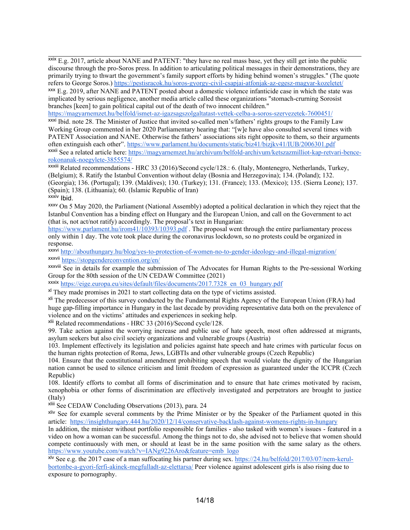<sup>xxix</sup> E.g. 2017, article about NANE and PATENT: "they have no real mass base, yet they still get into the public discourse through the pro-Soros press. In addition to articulating political messages in their demonstrations, they are primarily trying to thwart the government'<sup>s</sup> family suppor<sup>t</sup> efforts by hiding behind women'<sup>s</sup> struggles." (The quote refers to George Soros.) <https://pestisracok.hu/soros-gyorgy-civil-csapjai-atfonjak-az-egesz-magyar-kozeletet/>

xxx E.g. 2019, after NANE and PATENT posted about <sup>a</sup> domestic violence infanticide case in which the state was implicated by serious negligence, another media article called these organizations "stomach-crurning Sorosist branches [keen] to gain political capital out of the death of two innocent children."

<https://magyarnemzet.hu/belfold/ismet-az-igazsagszolgaltatast-vettek-celba-a-soros-szervezetek-7600451/>

xxxi Ibid. note 28. The Minister of Justice that invited so-called men's/fathers' rights groups to the Family Law Working Group commented in her 2020 Parliamentary hearing that: "[w]e have also consulted several times with PATENT Association and NANE. Otherwise the fathers' associations sits right opposite to them, so their arguments often extinguish each other". <https://www.parlament.hu/documents/static/biz41/bizjkv41/IUB/2006301.pdf> <sup>xxxii</sup> See a related article here: <u>https://magyarnemzet.hu/archivum/belfold-archivum/ketszazmilliot-kap-retvari-bence-</u> [rokonanak-noegylete-3855574/](https://magyarnemzet.hu/archivum/belfold-archivum/ketszazmilliot-kap-retvari-bence-rokonanak-noegylete-3855574/)

<sup>XXXiii</sup> Related recommendations - HRC 33 (2016)/Second cycle/128.: 6. (Italy, Montenegro, Netherlands, Turkey, (Belgium); 8. Ratify the Istanbul Convention without delay (Bosnia and Herzegovina); 134. (Poland); 132. (Georgia); 136. (Portugal); 139. (Maldives); 130. (Turkey); 131. (France); 133. (Mexico); 135. (Sierra Leone); 137. (Spain); 138. (Lithuania); 60. (Islamic Republic of Iran) <sup>xxxiv</sup> Ibid.

xxxv On 5 May 2020, the Parliament (National Assembly) adopted <sup>a</sup> political declaration in which they reject that the Istanbul Convention has <sup>a</sup> binding effect on Hungary and the European Union, and call on the Government to act (that is, not act/not ratify) accordingly. The proposal'<sup>s</sup> text in Hungarian:

<https://www.parlament.hu/irom41/10393/10393.pdf> . The proposal went through the entire parliamentary process only within 1 day. The vote took place during the coronavirus lockdown, so no protests could be organized in response.

xxxvi <http://abouthungary.hu/blog/yes-to-protection-of-women-no-to-gender-ideology-and-illegal-migration/> <sup>xxxvii</sup> <https://stopgenderconvention.org/en/>

<sup>XXXVIII</sup> See in details for example the submission of The Advocates for Human Rights to the Pre-sessional Working Group for the 80th session of the UN CEDAW Committee (2021)

<sup>xxxix</sup> [https://eige.europa.eu/sites/default/files/documents/2017.7328\\_en\\_03\\_hungary.pdf](https://eige.europa.eu/sites/default/files/documents/2017.7328_en_03_hungary.pdf)

<sup>xl</sup> They made promises in 2021 to start collecting data on the type of victims assisted.

<sup>xli</sup> The predecessor of this survey conducted by the Fundamental Rights Agency of the European Union (FRA) had huge gap-filling importance in Hungary in the last decade by providing representative data both on the prevalence of violence and on the victims' attitudes and experiences in seeking help.

<sup>xlii</sup> Related recommendations - HRC 33 (2016)/Second cycle/128.

99. Take action against the worrying increase and public use of hate speech, most often addressed at migrants, asylum seekers but also civil society organizations and vulnerable groups (Austria)

103. Implement effectively its legislation and policies against hate speech and hate crimes with particular focus on the human rights protection of Roma, Jews, LGBTIs and other vulnerable groups (Czech Republic)

104. Ensure that the constitutional amendment prohibiting speech that would violate the dignity of the Hungarian nation cannot be used to silence criticism and limit freedom of expression as guaranteed under the ICCPR (Czech Republic)

108. Identify efforts to combat all forms of discrimination and to ensure that hate crimes motivated by racism, xenophobia or other forms of discrimination are effectively investigated and perpetrators are brought to justice (Italy)

xliii See CEDAW Concluding Observations (2013), para. 24

<sup>xliv</sup> See for example several comments by the Prime Minister or by the Speaker of the Parliament quoted in this article: <https://insighthungary.444.hu/2020/12/14/conservative-backlash-against-womens-rights-in-hungary>

In addition, the minister without portfolio responsible for families - also tasked with women'<sup>s</sup> issues - featured in <sup>a</sup> video on how <sup>a</sup> woman can be successful. Among the things not to do, she advised not to believe that women should compete continuously with men, or should at least be in the same position with the same salary as the others. [https://www.youtube.com/watch?v=IANg9226Aro&feature=emb\\_logo](https://www.youtube.com/watch?v=IANg9226Aro&feature=emb_logo)

<sup>xlv</sup> See e.g. the 2017 case of a man suffocating his partner during sex. [https://24.hu/belfold/2017/03/07/nem-kerul](https://24.hu/belfold/2017/03/07/nem-kerul-bortonbe-a-gyori-ferfi-akinek-megfulladt-az-elettarsa/)[bortonbe-a-gyori-ferfi-akinek-megfulladt-az-elettarsa/](https://24.hu/belfold/2017/03/07/nem-kerul-bortonbe-a-gyori-ferfi-akinek-megfulladt-az-elettarsa/) Peer violence against adolescent girls is also rising due to exposure to pornography.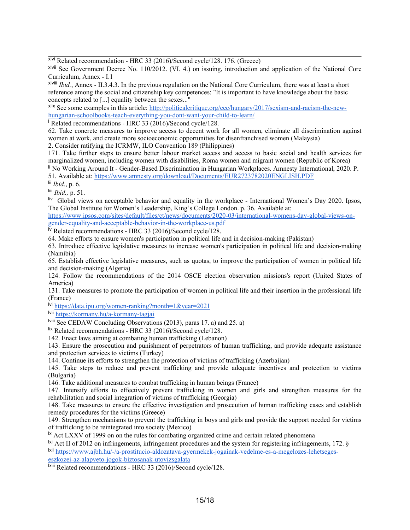xlvi Related recommendation - HRC 33 (2016)/Second cycle/128. 176. (Greece)

xlvii See Government Decree No. 110/2012. (VI. 4.) on issuing, introduction and application of the National Core Curriculum, Annex - I.1

xlviii *Ibid.*, Annex - II.3.4.3. In the previous regulation on the National Core Curriculum, there was at least <sup>a</sup> short reference among the social and citizenship key competences: "It is important to have knowledge about the basic concepts related to [...] equality between the sexes..."

<sup>xlix</sup> See some examples in this article: [http://politicalcritique.org/cee/hungary/2017/sexism-and-racism-the-new](http://politicalcritique.org/cee/hungary/2017/sexism-and-racism-the-new-hungarian-schoolbooks-teach-everything-you-dont-want-your-child-to-learn/)[hungarian-schoolbooks-teach-everything-you-dont-want-your-child-to-learn/](http://politicalcritique.org/cee/hungary/2017/sexism-and-racism-the-new-hungarian-schoolbooks-teach-everything-you-dont-want-your-child-to-learn/)

l Related recommendations - HRC 33 (2016)/Second cycle/128.

62. Take concrete measures to improve access to decent work for all women, eliminate all discrimination against women at work, and create more socioeconomic opportunities for disenfranchised women (Malaysia)

2. Consider ratifying the ICRMW, ILO Convention 189 (Philippines)

171. Take further steps to ensure better labour market access and access to basic social and health services for marginalized women, including women with disabilities, Roma women and migrant women (Republic of Korea) li No Working Around It - Gender-Based Discrimination in Hungarian Workplaces. Amnesty International, 2020. P.

51. Available at: <https://www.amnesty.org/download/Documents/EUR2723782020ENGLISH.PDF>

lii *Ibid.*, p. 6.

liii *Ibid.,* p. 51.

 $\frac{div}{dv}$  Global views on acceptable behavior and equality in the workplace - International Women's Day 2020. Ipsos, The Global Institute for Women'<sup>s</sup> Leadership, King'<sup>s</sup> College London. p. 36. Available at:

[https://www.ipsos.com/sites/default/files/ct/news/documents/2020-03/international-womens-day-global-views-on](https://www.ipsos.com/sites/default/files/ct/news/documents/2020-03/international-womens-day-global-views-on-gender-equality-and-acceptable-behavior-in-the-workplace-us.pdf)[gender-equality-and-acceptable-behavior-in-the-workplace-us.pdf](https://www.ipsos.com/sites/default/files/ct/news/documents/2020-03/international-womens-day-global-views-on-gender-equality-and-acceptable-behavior-in-the-workplace-us.pdf)

lv Related recommendations - HRC 33 (2016)/Second cycle/128.

64. Make efforts to ensure women's participation in political life and in decision-making (Pakistan)

63. Introduce effective legislative measures to increase women's participation in political life and decision-making (Namibia)

65. Establish effective legislative measures, such as quotas, to improve the participation of women in political life and decision-making (Algeria)

124. Follow the recommendations of the 2014 OSCE election observation missions's repor<sup>t</sup> (United States of America)

131. Take measures to promote the participation of women in political life and their insertion in the professional life (France)

<sup>lvi</sup> <https://data.ipu.org/women-ranking?month=1&year=2021>

<sup>lvii</sup> <https://kormany.hu/a-kormany-tagjai>

lviii See CEDAW Concluding Observations (2013), paras 17. a) and 25. a)

lix Related recommendations - HRC 33 (2016)/Second cycle/128.

142. Enact laws aiming at combating human trafficking (Lebanon)

143. Ensure the prosecution and punishment of perpetrators of human trafficking, and provide adequate assistance and protection services to victims (Turkey)

144. Continue its efforts to strengthen the protection of victims of trafficking (Azerbaijan)

145. Take steps to reduce and preven<sup>t</sup> trafficking and provide adequate incentives and protection to victims (Bulgaria)

146. Take additional measures to combat trafficking in human beings (France)

147. Intensify efforts to effectively preven<sup>t</sup> trafficking in women and girls and strengthen measures for the rehabilitation and social integration of victims of trafficking (Georgia)

148. Take measures to ensure the effective investigation and prosecution of human trafficking cases and establish remedy procedures for the victims (Greece)

149. Strengthen mechanisms to preven<sup>t</sup> the trafficking in boys and girls and provide the suppor<sup>t</sup> needed for victims of trafficking to be reintegrated into society (Mexico)

 $\frac{1}{x}$  Act LXXV of 1999 on on the rules for combating organized crime and certain related phenomena

 $\frac{1}{x}$  Act II of 2012 on infringements, infringement procedures and the system for registering infringements, 172. §

lxii [https://www.ajbh.hu/-/a-prostitucio-aldozatava-gyermekek-jogainak-vedelme-es-a-megelozes-lehetseges](https://www.ajbh.hu/-/a-prostitucio-aldozatava-gyermekek-jogainak-vedelme-es-a-megelozes-lehetseges-eszkozei-az-alapveto-jogok-biztosanak-utovizsgalata)[eszkozei-az-alapveto-jogok-biztosanak-utovizsgalata](https://www.ajbh.hu/-/a-prostitucio-aldozatava-gyermekek-jogainak-vedelme-es-a-megelozes-lehetseges-eszkozei-az-alapveto-jogok-biztosanak-utovizsgalata)

<sup>Ixiii</sup> Related recommendations - HRC 33 (2016)/Second cycle/128.